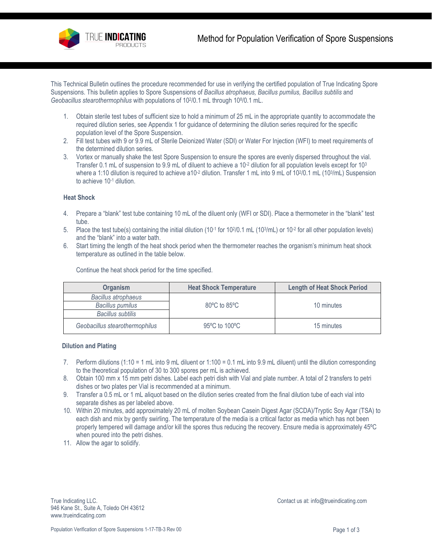

This Technical Bulletin outlines the procedure recommended for use in verifying the certified population of True Indicating Spore Suspensions. This bulletin applies to Spore Suspensions of *Bacillus atrophaeus, Bacillus pumilus, Bacillus subtilis* and *Geobacillus stearothermophilus* with populations of 102/0.1 mL through 108/0.1 mL.

- 1. Obtain sterile test tubes of sufficient size to hold a minimum of 25 mL in the appropriate quantity to accommodate the required dilution series, see Appendix 1 for guidance of determining the dilution series required for the specific population level of the Spore Suspension.
- 2. Fill test tubes with 9 or 9.9 mL of Sterile Deionized Water (SDI) or Water For Injection (WFI) to meet requirements of the determined dilution series.
- 3. Vortex or manually shake the test Spore Suspension to ensure the spores are evenly dispersed throughout the vial. Transfer 0.1 mL of suspension to 9.9 mL of diluent to achieve a  $10<sup>-2</sup>$  dilution for all population levels except for  $10<sup>3</sup>$ where a 1:10 dilution is required to achieve a10<sup>-2</sup> dilution. Transfer 1 mL into 9 mL of 10<sup>2</sup>/0.1 mL (10<sup>3</sup>/mL) Suspension to achieve 10-1 dilution.

## **Heat Shock**

- 4. Prepare a "blank" test tube containing 10 mL of the diluent only (WFI or SDI). Place a thermometer in the "blank" test tube.
- 5. Place the test tube(s) containing the initial dilution  $(10^{-1}$  for  $10^{2}/0.1$  mL  $(10^{3}/m)$  or  $10^{-2}$  for all other population levels) and the "blank" into a water bath.
- 6. Start timing the length of the heat shock period when the thermometer reaches the organism's minimum heat shock temperature as outlined in the table below.

| <b>Organism</b>                | <b>Heat Shock Temperature</b>      | <b>Length of Heat Shock Period</b> |  |
|--------------------------------|------------------------------------|------------------------------------|--|
| <b>Bacillus atrophaeus</b>     |                                    |                                    |  |
| <b>Bacillus pumilus</b>        | $80^{\circ}$ C to $85^{\circ}$ C   | 10 minutes                         |  |
| Bacillus subtilis              |                                    |                                    |  |
| Geobacillus stearothermophilus | $95^{\circ}$ C to 100 $^{\circ}$ C | 15 minutes                         |  |

Continue the heat shock period for the time specified.

## **Dilution and Plating**

- 7. Perform dilutions (1:10 = 1 mL into 9 mL diluent or 1:100 = 0.1 mL into 9.9 mL diluent) until the dilution corresponding to the theoretical population of 30 to 300 spores per mL is achieved.
- 8. Obtain 100 mm x 15 mm petri dishes. Label each petri dish with Vial and plate number. A total of 2 transfers to petri dishes or two plates per Vial is recommended at a minimum.
- 9. Transfer a 0.5 mL or 1 mL aliquot based on the dilution series created from the final dilution tube of each vial into separate dishes as per labeled above.
- 10. Within 20 minutes, add approximately 20 mL of molten Soybean Casein Digest Agar (SCDA)/Tryptic Soy Agar (TSA) to each dish and mix by gently swirling. The temperature of the media is a critical factor as media which has not been properly tempered will damage and/or kill the spores thus reducing the recovery. Ensure media is approximately 45ºC when poured into the petri dishes.
- 11. Allow the agar to solidify.

True Indicating LLC. The Indicating LCC. Contact us at[: info@trueindicating.com](mailto:info@trueindicating.com) 946 Kane St., Suite A, Toledo OH 43612 www.trueindicating.com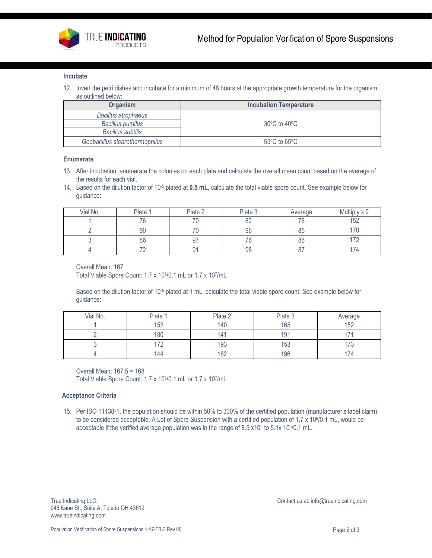

#### **Incubate**

12. Invert the petri dishes and incubate for a minimum of 48 hours at the appropriate growth temperature for the organism, as outlined below:

| <b>Organism</b>                | <b>Incubation Temperature</b>     |
|--------------------------------|-----------------------------------|
| <b>Bacillus atrophaeus</b>     |                                   |
| <b>Bacillus pumilus</b>        | $30^{\circ}$ C to $40^{\circ}$ C  |
| Bacillus subtilis              |                                   |
| Geobacillus stearothermophilus | $55^{\circ}$ C to 65 $^{\circ}$ C |

## **Enumerate**

- 13. After incubation, enumerate the colonies on each plate and calculate the overall mean count based on the average of the results for each vial.
- 14. Based on the dilution factor of 10-5 plated at **0.5 mL**, calculate the total viable spore count. See example below for guidance:

| Vial No. | Plate                    | Plate 2 | Plate 3  | Average  | Multiply x 2  |
|----------|--------------------------|---------|----------|----------|---------------|
|          | 7C                       |         | ററ<br>◡▵ | 'b       | 152           |
|          | 90                       |         | 96       | oπ<br>ŏჂ | $\rightarrow$ |
|          | 86                       | ັ       | 76       | 86       | $\neg$        |
|          | $\overline{\phantom{a}}$ |         | 98       | o i      | -<br>14،      |

#### Overall Mean: 167

Total Viable Spore Count: 1.7 x 106/0.1 mL or 1.7 x 107/mL

Based on the dilution factor of 10-5 plated at 1 mL, calculate the total viable spore count. See example below for guidance:

| Vial No. | Plate | Plate 2        | Plate 3         | Average       |
|----------|-------|----------------|-----------------|---------------|
|          | 152   | 140            | 165             | 152           |
|          | 180   | $\overline{4}$ | 19 <sup>1</sup> |               |
|          | 70    | 193            | 153             | $\rightarrow$ |
|          | 144   | 182            | 196             | -<br>174.     |

Overall Mean: 167.5 = 168 Total Viable Spore Count: 1.7 x 106/0.1 mL or 1.7 x 107/mL

### **Acceptance Criteria**

15. Per ISO 11138-1, the population should be within 50% to 300% of the certified population (manufacturer's label claim) to be considered acceptable. A Lot of Spore Suspension with a certified population of 1.7 x 10<sup>6</sup>/0.1 mL, would be acceptable if the verified average population was in the range of 8.5 x10<sup>5</sup> to 5.1x 10<sup>6</sup>/0.1 mL.

True Indicating LLC. The Indicating LLC is at[: info@trueindicating.com](mailto:info@trueindicating.com) 946 Kane St., Suite A, Toledo OH 43612 www.trueindicating.com